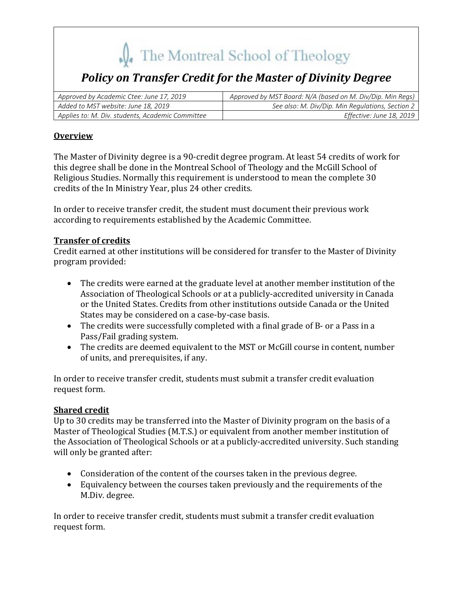# The Montreal School of Theology

## *Policy on Transfer Credit for the Master of Divinity Degree*

| Approved by Academic Ctee: June 17, 2019         | Approved by MST Board: N/A (based on M. Div/Dip. Min Regs) |
|--------------------------------------------------|------------------------------------------------------------|
| Added to MST website: June 18, 2019              | See also: M. Div/Dip. Min Regulations, Section 2           |
| Applies to: M. Div. students, Academic Committee | Effective: June 18, 2019                                   |

## **Overview**

The Master of Divinity degree is a 90-credit degree program. At least 54 credits of work for this degree shall be done in the Montreal School of Theology and the McGill School of Religious Studies. Normally this requirement is understood to mean the complete 30 credits of the In Ministry Year, plus 24 other credits.

In order to receive transfer credit, the student must document their previous work according to requirements established by the Academic Committee.

#### **Transfer of credits**

Credit earned at other institutions will be considered for transfer to the Master of Divinity program provided:

- The credits were earned at the graduate level at another member institution of the Association of Theological Schools or at a publicly-accredited university in Canada or the United States. Credits from other institutions outside Canada or the United States may be considered on a case-by-case basis.
- The credits were successfully completed with a final grade of B- or a Pass in a Pass/Fail grading system.
- The credits are deemed equivalent to the MST or McGill course in content, number of units, and prerequisites, if any.

In order to receive transfer credit, students must submit a transfer credit evaluation request form.

## **Shared credit**

Up to 30 credits may be transferred into the Master of Divinity program on the basis of a Master of Theological Studies (M.T.S.) or equivalent from another member institution of the Association of Theological Schools or at a publicly-accredited university. Such standing will only be granted after:

- Consideration of the content of the courses taken in the previous degree.
- Equivalency between the courses taken previously and the requirements of the M.Div. degree.

In order to receive transfer credit, students must submit a transfer credit evaluation request form.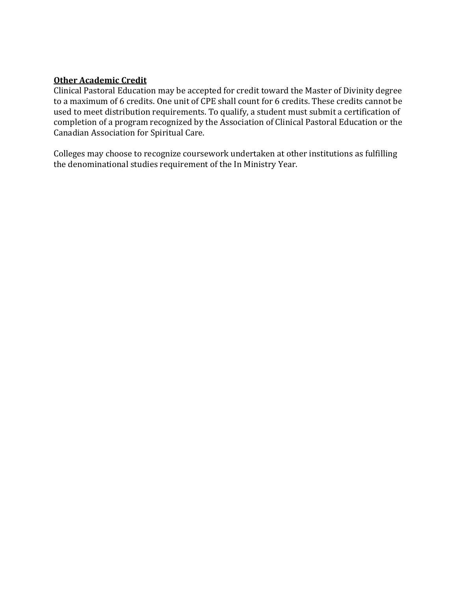#### **Other Academic Credit**

Clinical Pastoral Education may be accepted for credit toward the Master of Divinity degree to a maximum of 6 credits. One unit of CPE shall count for 6 credits. These credits cannot be used to meet distribution requirements. To qualify, a student must submit a certification of completion of a program recognized by the Association of Clinical Pastoral Education or the Canadian Association for Spiritual Care.

Colleges may choose to recognize coursework undertaken at other institutions as fulfilling the denominational studies requirement of the In Ministry Year.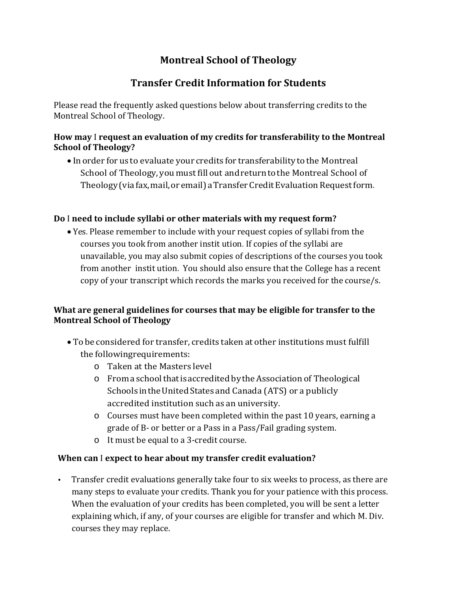## **Montreal School of Theology**

## **Transfer Credit Information for Students**

Please read the frequently asked questions below about transferring credits to the Montreal School of Theology.

## **How may** I **request an evaluation of my credits for transferability to the Montreal School of Theology?**

• In order for us to evaluate your credits for transferability to the Montreal School of Theology, you must fill out and return to the Montreal School of Theology (via fax, mail, or email) a Transfer Credit Evaluation Request form.

## **Do** I **need to include syllabi or other materials with my request form?**

• Yes. Please remember to include with your request copies of syllabi from the courses you took from another instit ution. If copies of the syllabi are unavailable, you may also submit copies of descriptions of the courses you took from another instit ution. You should also ensure that the College has a recent copy of your transcript which records the marks you received for the course/s.

## **What are general guidelines for courses that may be eligible for transfer to the Montreal School of Theology**

- To be considered for transfer, credits taken at other institutions must fulfill the followingrequirements:
	- $\circ$  Taken at the Masters level
	- $\circ$  From a school that is accredited by the Association of Theological Schools in the United States and Canada (ATS) or a publicly accredited institution such as an university.
	- $\circ$  Courses must have been completed within the past 10 years, earning a grade of B- or better or a Pass in a Pass/Fail grading system.
	- o It must be equal to a 3-credit course.

## **When can** I **expect to hear about my transfer credit evaluation?**

• Transfer credit evaluations generally take four to six weeks to process, as there are many steps to evaluate your credits. Thank you for your patience with this process. When the evaluation of your credits has been completed, you will be sent a letter explaining which, if any, of your courses are eligible for transfer and which M. Div. courses they may replace.